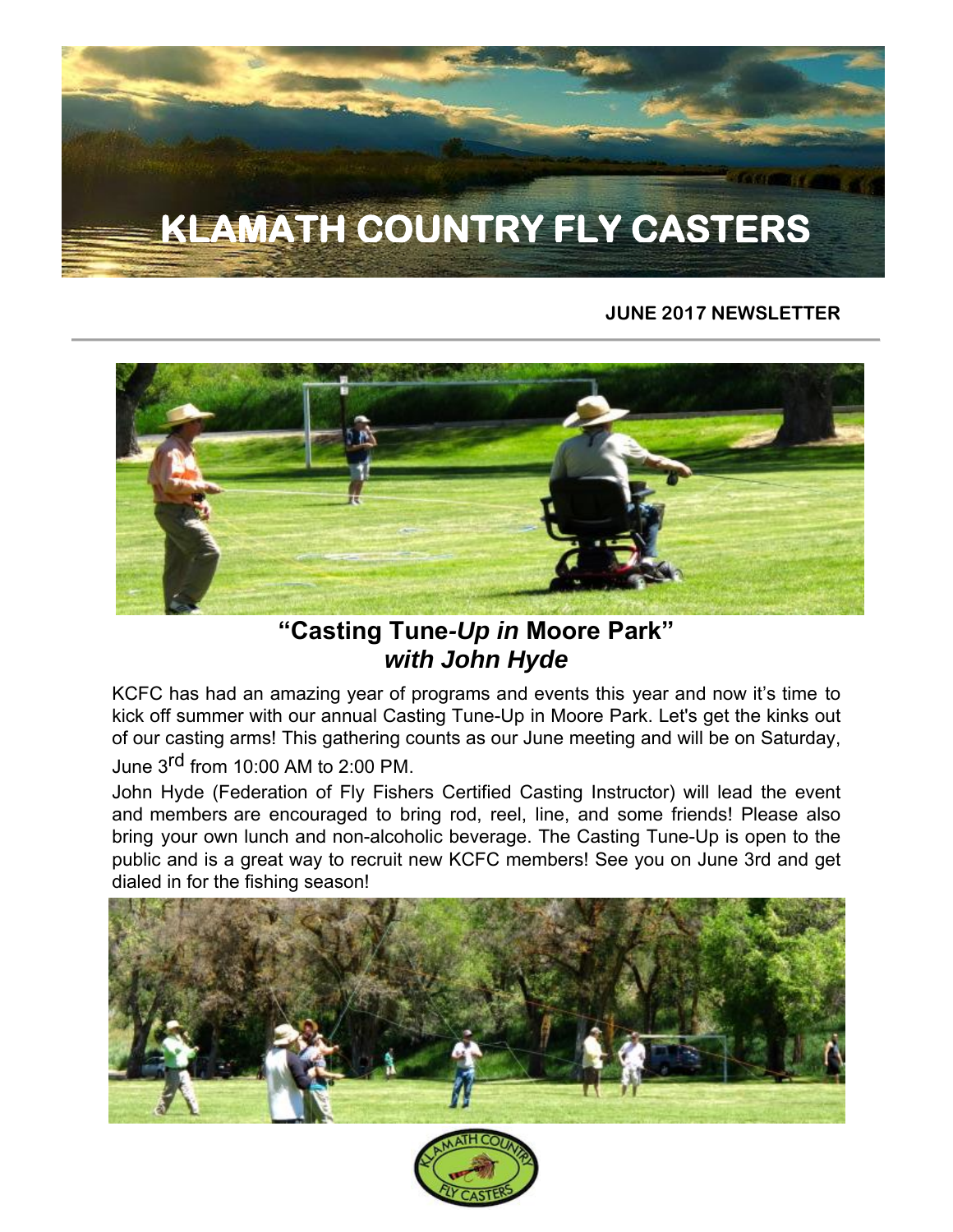# **KLAMATH COUNTRY FLY CASTERS**

#### **JUNE 2017 NEWSLETTER**



## *"Casting Tune-Up in Moore Park" with John Hyde*

KCFC has had an amazing year of programs and events this year and now it's time to kick off summer with our annual Casting Tune-Up in Moore Park. Let's get the kinks out of our casting arms! This gathering counts as our June meeting and will be on Saturday,

June 3rd from 10:00 AM to 2:00 PM.

John Hyde (Federation of Fly Fishers Certified Casting Instructor) will lead the event and members are encouraged to bring rod, reel, line, and some friends! Please also bring your own lunch and non-alcoholic beverage. The Casting Tune-Up is open to the public and is a great way to recruit new KCFC members! See you on June 3rd and get dialed in for the fishing season!



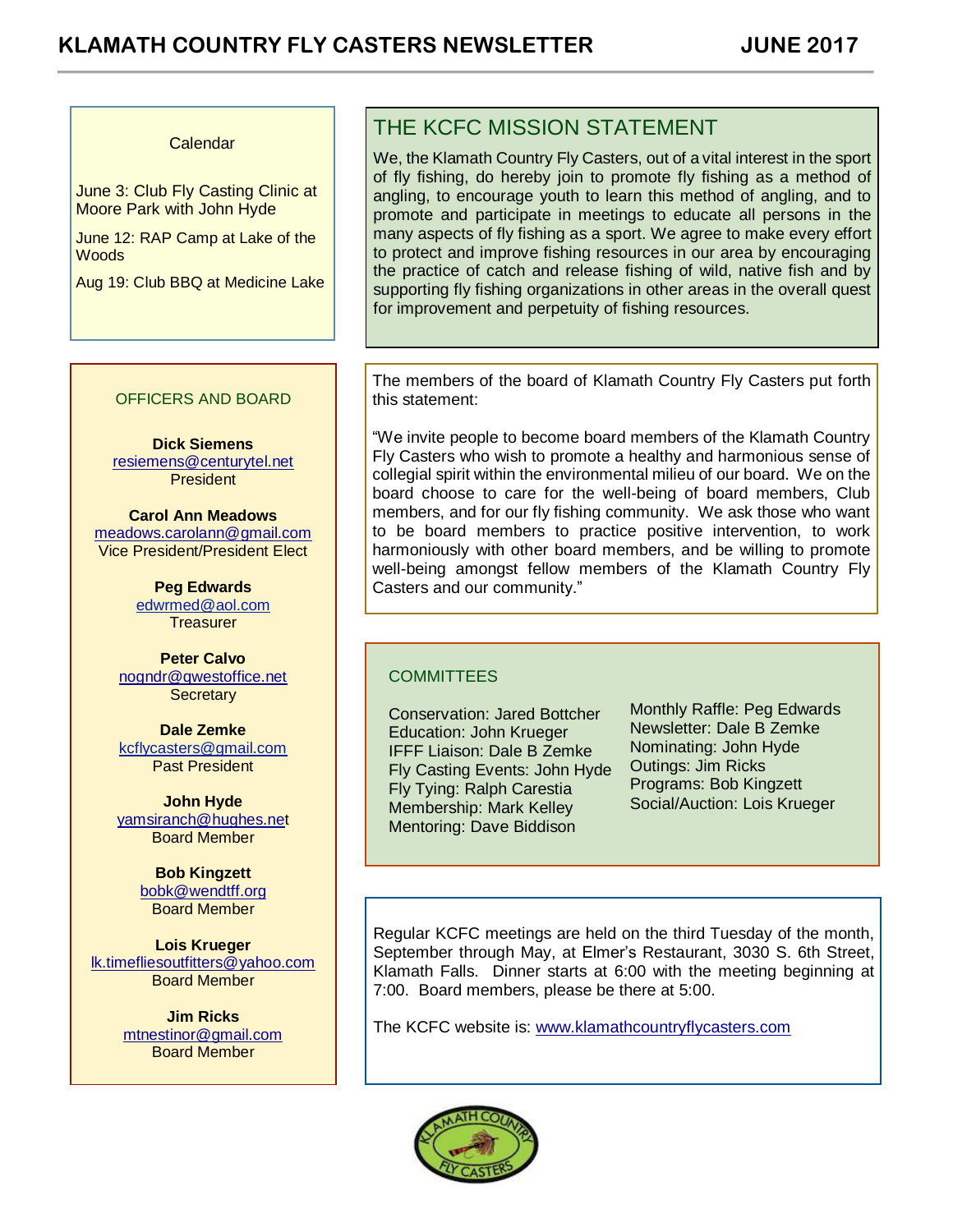#### Calendar

June 3: Club Fly Casting Clinic at Moore Park with John Hyde

June 12: RAP Camp at Lake of the **Woods** 

Aug 19: Club BBQ at Medicine Lake

#### THE KCFC MISSION STATEMENT

We, the Klamath Country Fly Casters, out of a vital interest in the sport of fly fishing, do hereby join to promote fly fishing as a method of angling, to encourage youth to learn this method of angling, and to promote and participate in meetings to educate all persons in the many aspects of fly fishing as a sport. We agree to make every effort to protect and improve fishing resources in our area by encouraging the practice of catch and release fishing of wild, native fish and by supporting fly fishing organizations in other areas in the overall quest for improvement and perpetuity of fishing resources.

#### OFFICERS AND BOARD

**Dick Siemens** [resiemens@centurytel.net](mailto:resiemens@centurytel.net) **President** 

**Carol Ann Meadows** [meadows.carolann@gmail.com](http://meadows.carolann@gmail.com/) Vice President/President Elect

> **Peg Edwards** [edwrmed@aol.com](mailto:edwrmed@aol.com) **Treasurer**

**Peter Calvo** [nogndr@qwestoffice.net](mailto:nogndr@qwestoffice.net) **Secretary** 

**Dale Zemke** [kcflycasters@gmail.com](mailto:kcflycasters@gmail.com) Past President

**John Hyde** [yamsiranch@hughes.net](mailto:yamsiranch@hughes.ne) Board Member

> **Bob Kingzett** [bobk@wendtff.org](mailto:bobk@jeld-wen.com) Board Member

**Lois Krueger** [lk.timefliesoutfitters@yahoo.com](mailto:lk.timefliesoutfitters@yahoo.com) Board Member

> **Jim Ricks** [mtnestinor@gmail.com](mailto:mtnestinor@gmail.com) Board Member

The members of the board of Klamath Country Fly Casters put forth this statement:

"We invite people to become board members of the Klamath Country Fly Casters who wish to promote a healthy and harmonious sense of collegial spirit within the environmental milieu of our board. We on the board choose to care for the well-being of board members, Club members, and for our fly fishing community. We ask those who want to be board members to practice positive intervention, to work harmoniously with other board members, and be willing to promote well-being amongst fellow members of the Klamath Country Fly Casters and our community."

#### **COMMITTEES**

Conservation: Jared Bottcher Education: John Krueger IFFF Liaison: Dale B Zemke Fly Casting Events: John Hyde Fly Tying: Ralph Carestia Membership: Mark Kelley Mentoring: Dave Biddison

Monthly Raffle: Peg Edwards Newsletter: Dale B Zemke Nominating: John Hyde Outings: Jim Ricks Programs: Bob Kingzett Social/Auction: Lois Krueger

Regular KCFC meetings are held on the third Tuesday of the month, September through May, at Elmer's Restaurant, 3030 S. 6th Street, Klamath Falls. Dinner starts at 6:00 with the meeting beginning at 7:00. Board members, please be there at 5:00.

The KCFC website is: [www.klamathcountryflycasters.com](http://www.klamathcountryflycasters.com/)

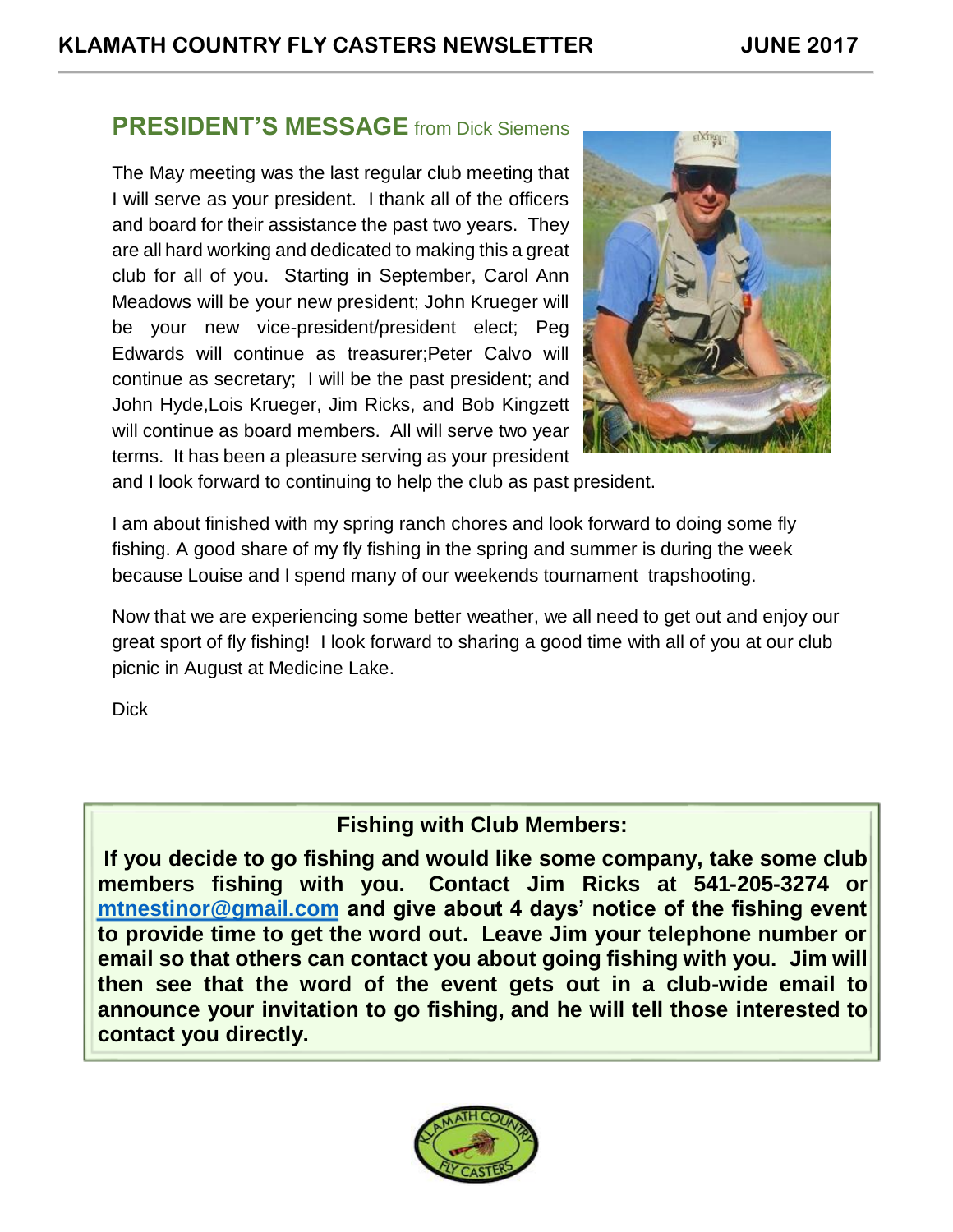### **PRESIDENT'S MESSAGE** from Dick Siemens

The May meeting was the last regular club meeting that I will serve as your president. I thank all of the officers and board for their assistance the past two years. They are all hard working and dedicated to making this a great club for all of you. Starting in September, Carol Ann Meadows will be your new president; John Krueger will be your new vice-president/president elect; Peg Edwards will continue as treasurer;Peter Calvo will continue as secretary; I will be the past president; and John Hyde,Lois Krueger, Jim Ricks, and Bob Kingzett will continue as board members. All will serve two year terms. It has been a pleasure serving as your president



and I look forward to continuing to help the club as past president.

I am about finished with my spring ranch chores and look forward to doing some fly fishing. A good share of my fly fishing in the spring and summer is during the week because Louise and I spend many of our weekends tournament trapshooting.

Now that we are experiencing some better weather, we all need to get out and enjoy our great sport of fly fishing! I look forward to sharing a good time with all of you at our club picnic in August at Medicine Lake.

**Dick** 

### **Fishing with Club Members:**

**If you decide to go fishing and would like some company, take some club members fishing with you. Contact Jim Ricks at 541-205-3274 or [mtnestinor@gmail.com](mailto:mtnestinor@gmail.com) and give about 4 days' notice of the fishing event to provide time to get the word out. Leave Jim your telephone number or email so that others can contact you about going fishing with you. Jim will then see that the word of the event gets out in a club-wide email to announce your invitation to go fishing, and he will tell those interested to contact you directly.**

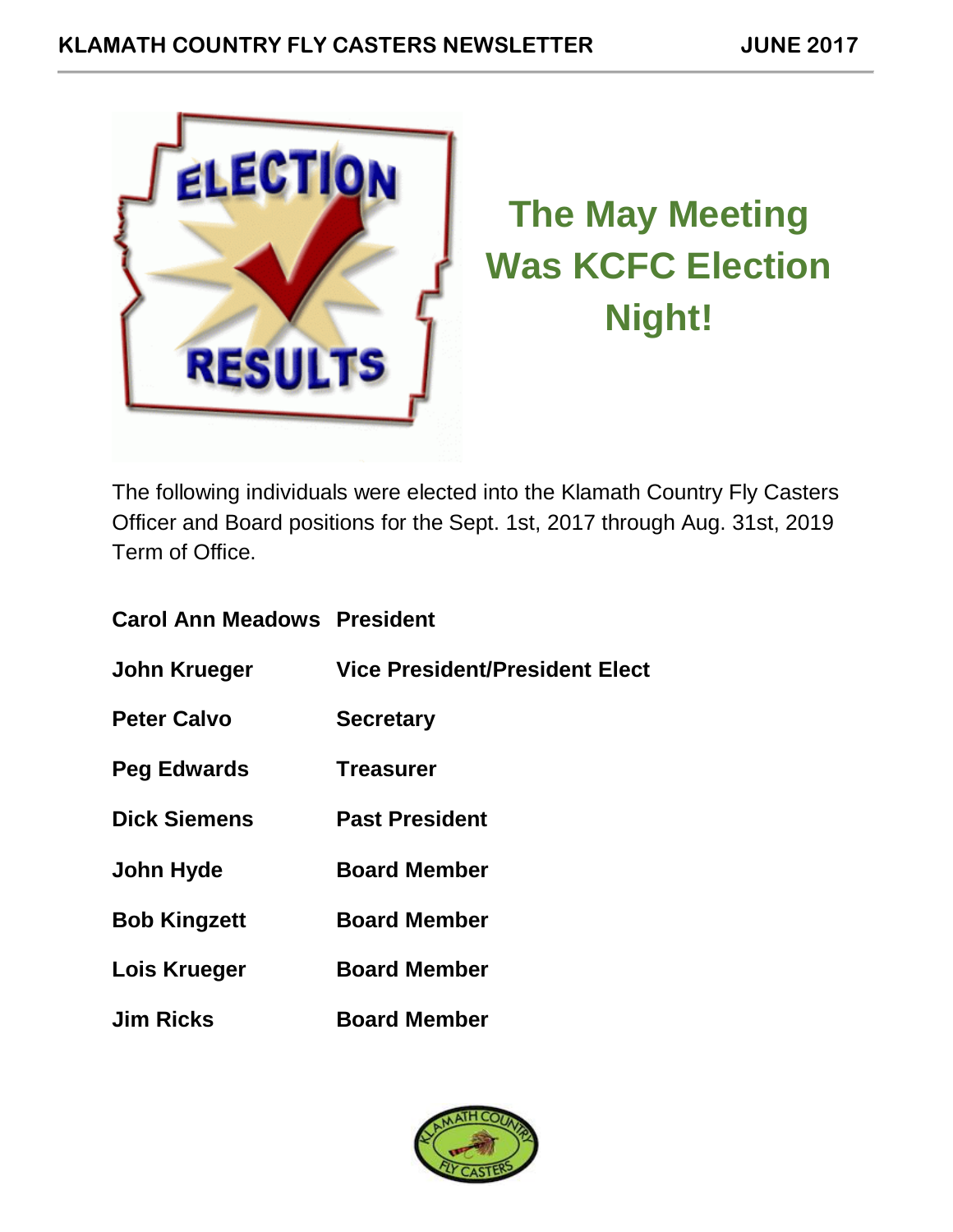



# **The May Meeting Was KCFC Election Night!**

The following individuals were elected into the Klamath Country Fly Casters Officer and Board positions for the Sept. 1st, 2017 through Aug. 31st, 2019 Term of Office.

| <b>Carol Ann Meadows President</b> |                                       |
|------------------------------------|---------------------------------------|
| John Krueger                       | <b>Vice President/President Elect</b> |
| <b>Peter Calvo</b>                 | <b>Secretary</b>                      |
| <b>Peg Edwards</b>                 | <b>Treasurer</b>                      |
| <b>Dick Siemens</b>                | <b>Past President</b>                 |
| John Hyde                          | <b>Board Member</b>                   |
| <b>Bob Kingzett</b>                | <b>Board Member</b>                   |
| Lois Krueger                       | <b>Board Member</b>                   |
| <b>Jim Ricks</b>                   | <b>Board Member</b>                   |

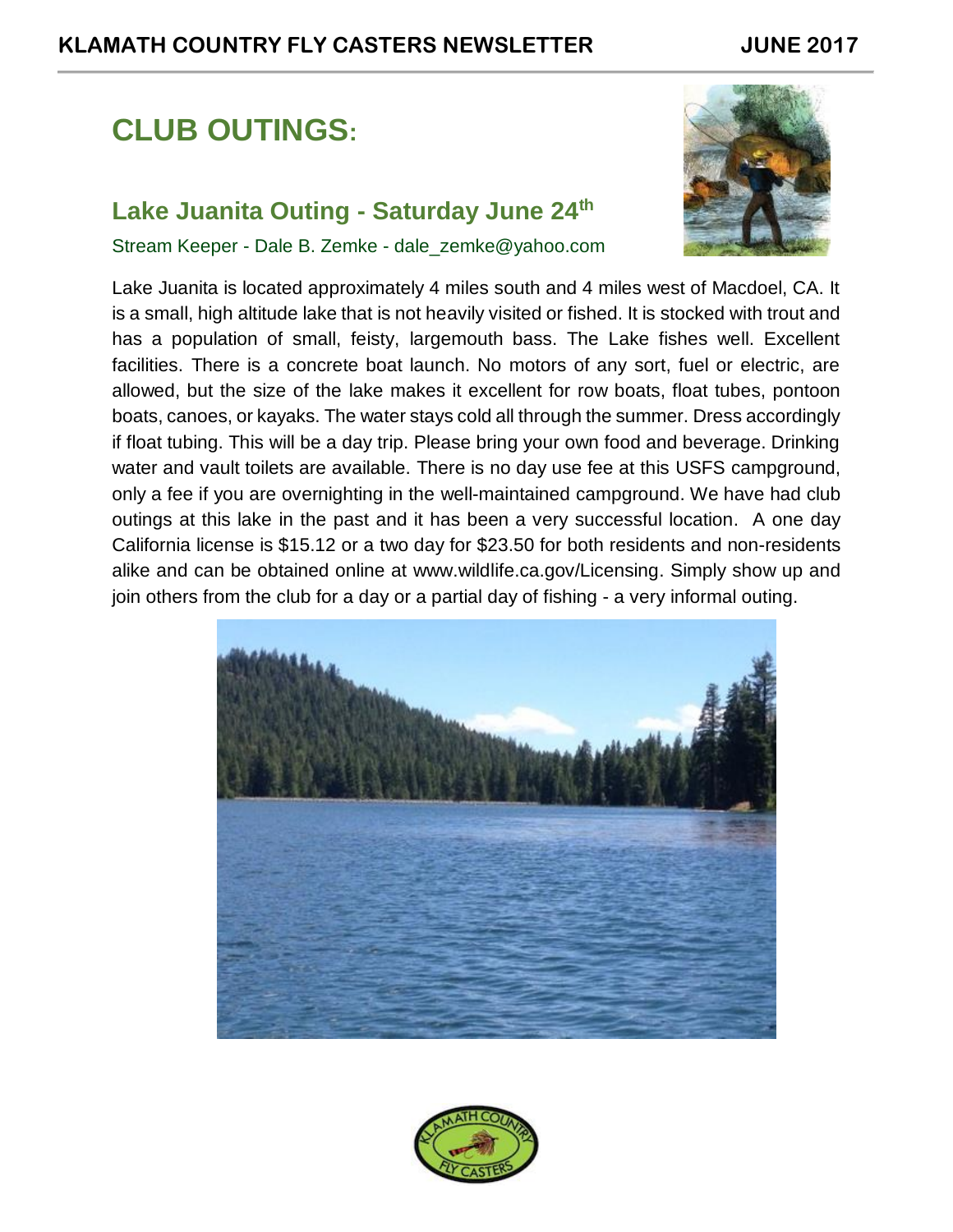# **CLUB OUTINGS:**

## **Lake Juanita Outing - Saturday June 24th**

Stream Keeper - Dale B. Zemke - dale\_zemke@yahoo.com



Lake Juanita is located approximately 4 miles south and 4 miles west of Macdoel, CA. It is a small, high altitude lake that is not heavily visited or fished. It is stocked with trout and has a population of small, feisty, largemouth bass. The Lake fishes well. Excellent facilities. There is a concrete boat launch. No motors of any sort, fuel or electric, are allowed, but the size of the lake makes it excellent for row boats, float tubes, pontoon boats, canoes, or kayaks. The water stays cold all through the summer. Dress accordingly if float tubing. This will be a day trip. Please bring your own food and beverage. Drinking water and vault toilets are available. There is no day use fee at this USFS campground, only a fee if you are overnighting in the well-maintained campground. We have had club outings at this lake in the past and it has been a very successful location. A one day California license is \$15.12 or a two day for \$23.50 for both residents and non-residents alike and can be obtained online at [www.wildlife.ca.gov/Licensing.](http://www.wildlife.ca.gov/Licensing) Simply show up and join others from the club for a day or a partial day of fishing - a very informal outing.



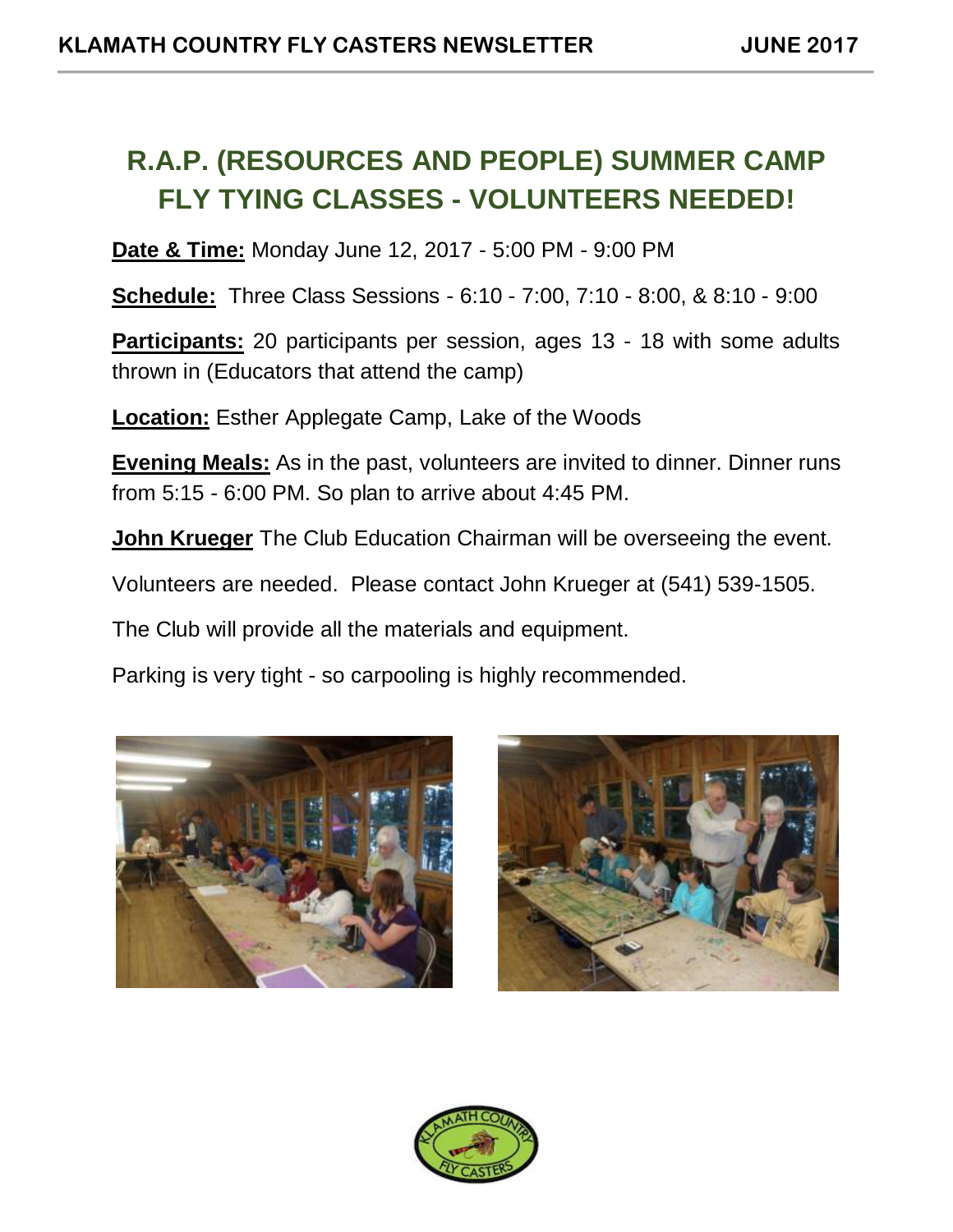## **R.A.P. (RESOURCES AND PEOPLE) SUMMER CAMP FLY TYING CLASSES - VOLUNTEERS NEEDED!**

**Date & Time:** Monday June 12, 2017 - 5:00 PM - 9:00 PM

**Schedule:** Three Class Sessions - 6:10 - 7:00, 7:10 - 8:00, & 8:10 - 9:00

**Participants:** 20 participants per session, ages 13 - 18 with some adults thrown in (Educators that attend the camp)

**Location:** Esther Applegate Camp, Lake of the Woods

**Evening Meals:** As in the past, volunteers are invited to dinner. Dinner runs from 5:15 - 6:00 PM. So plan to arrive about 4:45 PM.

**John Krueger** The Club Education Chairman will be overseeing the event.

Volunteers are needed. Please contact John Krueger at (541) 539-1505.

The Club will provide all the materials and equipment.

Parking is very tight - so carpooling is highly recommended.